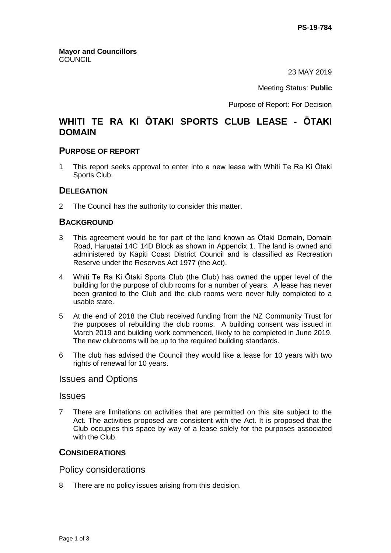23 MAY 2019

Meeting Status: **Public**

Purpose of Report: For Decision

# **WHITI TE RA KI ŌTAKI SPORTS CLUB LEASE - ŌTAKI DOMAIN**

## **PURPOSE OF REPORT**

1 This report seeks approval to enter into a new lease with Whiti Te Ra Ki Ōtaki Sports Club.

## **DELEGATION**

2 The Council has the authority to consider this matter.

## **BACKGROUND**

- 3 This agreement would be for part of the land known as Ōtaki Domain, Domain Road, Haruatai 14C 14D Block as shown in Appendix 1. The land is owned and administered by Kāpiti Coast District Council and is classified as Recreation Reserve under the Reserves Act 1977 (the Act).
- 4 Whiti Te Ra Ki Ōtaki Sports Club (the Club) has owned the upper level of the building for the purpose of club rooms for a number of years. A lease has never been granted to the Club and the club rooms were never fully completed to a usable state.
- 5 At the end of 2018 the Club received funding from the NZ Community Trust for the purposes of rebuilding the club rooms. A building consent was issued in March 2019 and building work commenced, likely to be completed in June 2019. The new clubrooms will be up to the required building standards.
- 6 The club has advised the Council they would like a lease for 10 years with two rights of renewal for 10 years.

# Issues and Options

#### Issues

7 There are limitations on activities that are permitted on this site subject to the Act. The activities proposed are consistent with the Act. It is proposed that the Club occupies this space by way of a lease solely for the purposes associated with the Club.

## **CONSIDERATIONS**

## Policy considerations

8 There are no policy issues arising from this decision.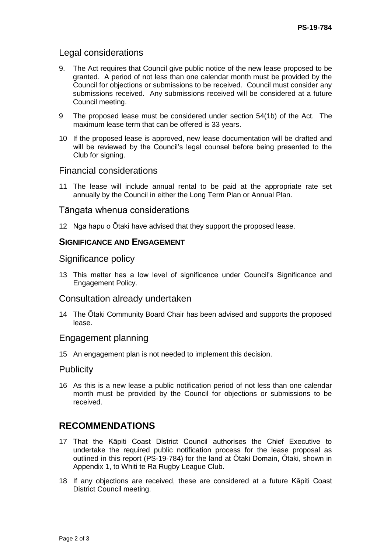## Legal considerations

- 9. The Act requires that Council give public notice of the new lease proposed to be granted. A period of not less than one calendar month must be provided by the Council for objections or submissions to be received. Council must consider any submissions received. Any submissions received will be considered at a future Council meeting.
- 9 The proposed lease must be considered under section 54(1b) of the Act. The maximum lease term that can be offered is 33 years.
- 10 If the proposed lease is approved, new lease documentation will be drafted and will be reviewed by the Council's legal counsel before being presented to the Club for signing.

## Financial considerations

11 The lease will include annual rental to be paid at the appropriate rate set annually by the Council in either the Long Term Plan or Annual Plan.

## Tāngata whenua considerations

12 Nga hapu o Ōtaki have advised that they support the proposed lease.

# **SIGNIFICANCE AND ENGAGEMENT**

## Significance policy

13 This matter has a low level of significance under Council's Significance and Engagement Policy.

## Consultation already undertaken

14 The Ōtaki Community Board Chair has been advised and supports the proposed lease.

## Engagement planning

15 An engagement plan is not needed to implement this decision.

## **Publicity**

16 As this is a new lease a public notification period of not less than one calendar month must be provided by the Council for objections or submissions to be received.

# **RECOMMENDATIONS**

- 17 That the Kāpiti Coast District Council authorises the Chief Executive to undertake the required public notification process for the lease proposal as outlined in this report (PS-19-784) for the land at Ōtaki Domain, Ōtaki, shown in Appendix 1, to Whiti te Ra Rugby League Club.
- 18 If any objections are received, these are considered at a future Kāpiti Coast District Council meeting.